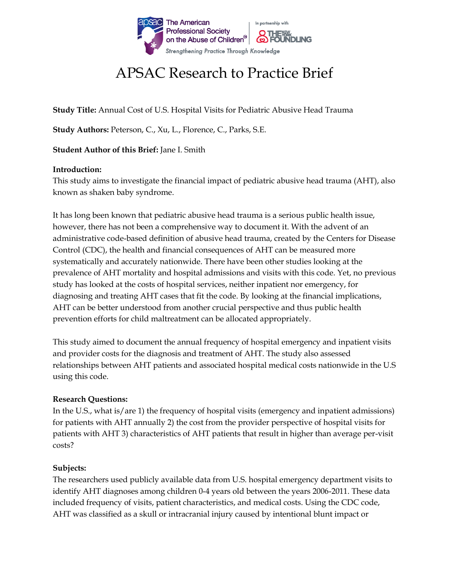

# APSAC Research to Practice Brief

**Study Title:** Annual Cost of U.S. Hospital Visits for Pediatric Abusive Head Trauma

**Study Authors:** Peterson, C., Xu, L., Florence, C., Parks, S.E.

**Student Author of this Brief:** Jane I. Smith

### **Introduction:**

This study aims to investigate the financial impact of pediatric abusive head trauma (AHT), also known as shaken baby syndrome.

It has long been known that pediatric abusive head trauma is a serious public health issue, however, there has not been a comprehensive way to document it. With the advent of an administrative code-based definition of abusive head trauma, created by the Centers for Disease Control (CDC), the health and financial consequences of AHT can be measured more systematically and accurately nationwide. There have been other studies looking at the prevalence of AHT mortality and hospital admissions and visits with this code. Yet, no previous study has looked at the costs of hospital services, neither inpatient nor emergency, for diagnosing and treating AHT cases that fit the code. By looking at the financial implications, AHT can be better understood from another crucial perspective and thus public health prevention efforts for child maltreatment can be allocated appropriately.

This study aimed to document the annual frequency of hospital emergency and inpatient visits and provider costs for the diagnosis and treatment of AHT. The study also assessed relationships between AHT patients and associated hospital medical costs nationwide in the U.S using this code.

### **Research Questions:**

In the U.S., what is/are 1) the frequency of hospital visits (emergency and inpatient admissions) for patients with AHT annually 2) the cost from the provider perspective of hospital visits for patients with AHT 3) characteristics of AHT patients that result in higher than average per-visit costs?

### **Subjects:**

The researchers used publicly available data from U.S. hospital emergency department visits to identify AHT diagnoses among children 0-4 years old between the years 2006-2011. These data included frequency of visits, patient characteristics, and medical costs. Using the CDC code, AHT was classified as a skull or intracranial injury caused by intentional blunt impact or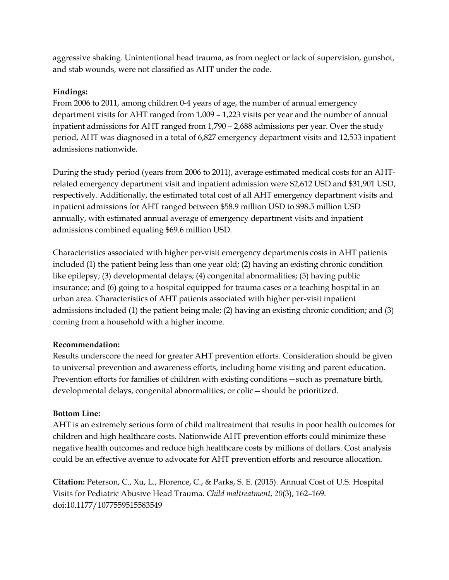aggressive shaking. Unintentional head trauma, as from neglect or lack of supervision, gunshot, and stab wounds, were not classified as AHT under the code.

## **Findings:**

From 2006 to 2011, among children 0-4 years of age, the number of annual emergency department visits for AHT ranged from 1,009 – 1,223 visits per year and the number of annual inpatient admissions for AHT ranged from 1,790 – 2,688 admissions per year. Over the study period, AHT was diagnosed in a total of 6,827 emergency department visits and 12,533 inpatient admissions nationwide.

During the study period (years from 2006 to 2011), average estimated medical costs for an AHTrelated emergency department visit and inpatient admission were \$2,612 USD and \$31,901 USD, respectively. Additionally, the estimated total cost of all AHT emergency department visits and inpatient admissions for AHT ranged between \$58.9 million USD to \$98.5 million USD annually, with estimated annual average of emergency department visits and inpatient admissions combined equaling \$69.6 million USD.

Characteristics associated with higher per-visit emergency departments costs in AHT patients included (1) the patient being less than one year old; (2) having an existing chronic condition like epilepsy; (3) developmental delays; (4) congenital abnormalities; (5) having public insurance; and (6) going to a hospital equipped for trauma cases or a teaching hospital in an urban area. Characteristics of AHT patients associated with higher per-visit inpatient admissions included (1) the patient being male; (2) having an existing chronic condition; and (3) coming from a household with a higher income.

# **Recommendation:**

Results underscore the need for greater AHT prevention efforts. Consideration should be given to universal prevention and awareness efforts, including home visiting and parent education. Prevention efforts for families of children with existing conditions—such as premature birth, developmental delays, congenital abnormalities, or colic—should be prioritized.

# **Bottom Line:**

AHT is an extremely serious form of child maltreatment that results in poor health outcomes for children and high healthcare costs. Nationwide AHT prevention efforts could minimize these negative health outcomes and reduce high healthcare costs by millions of dollars. Cost analysis could be an effective avenue to advocate for AHT prevention efforts and resource allocation.

**Citation:** Peterson, C., Xu, L., Florence, C., & Parks, S. E. (2015). Annual Cost of U.S. Hospital Visits for Pediatric Abusive Head Trauma. *Child maltreatment*, *20*(3), 162–169. doi:10.1177/1077559515583549